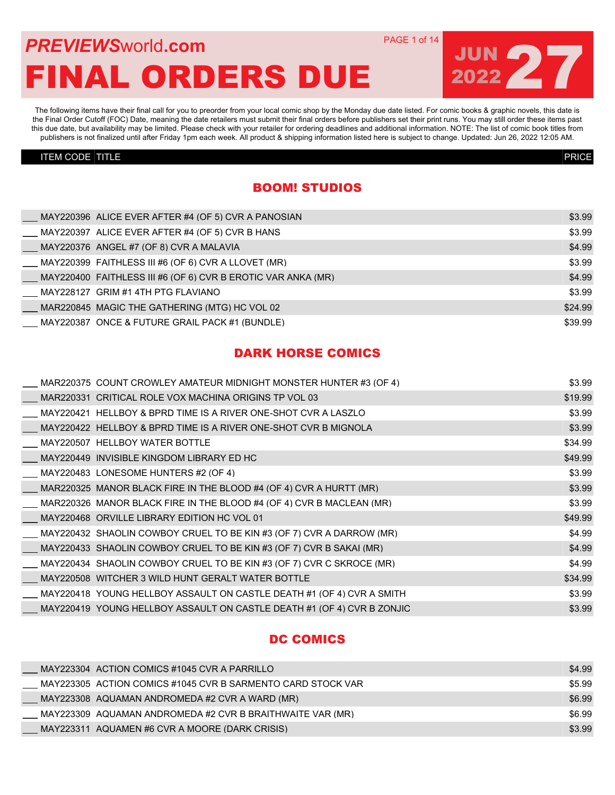## **PREVIEWS** WORLD **COM** PAGE 1 of 14 FINAL ORDERS DUE

The following items have their final call for you to preorder from your local comic shop by the Monday due date listed. For comic books & graphic novels, this date is the Final Order Cutoff (FOC) Date, meaning the date retailers must submit their final orders before publishers set their print runs. You may still order these items past this due date, but availability may be limited. Please check with your retailer for ordering deadlines and additional information. NOTE: The list of comic book titles from publishers is not finalized until after Friday 1pm each week. All product & shipping information listed here is subject to change. Updated: Jun 26, 2022 12:05 AM.

#### ITEM CODE TITLE PRICE

### BOOM! STUDIOS

| MAY220396 ALICE EVER AFTER #4 (OF 5) CVR A PANOSIAN                        | \$3.99  |
|----------------------------------------------------------------------------|---------|
| $\underline{\hspace{1cm}}$ MAY220397 ALICE EVER AFTER #4 (OF 5) CVR B HANS | \$3.99  |
| $\underline{\hspace{1cm}}$ MAY220376 ANGEL #7 (OF 8) CVR A MALAVIA         | \$4.99  |
| MAY220399_FAITHLESS III #6 (OF 6) CVR A LLOVET (MR)                        | \$3.99  |
| MAY220400 FAITHLESS III #6 (OF 6) CVR B EROTIC VAR ANKA (MR)               | \$4.99  |
| MAY228127 GRIM #1 4TH PTG FLAVIANO                                         | \$3.99  |
| _ MAR220845  MAGIC THE GATHERING (MTG) HC VOL 02                           | \$24.99 |
| MAY220387 ONCE & FUTURE GRAIL PACK #1 (BUNDLE)                             | \$39.99 |

### DARK HORSE COMICS

| MAR220375 COUNT CROWLEY AMATEUR MIDNIGHT MONSTER HUNTER #3 (OF 4)      | \$3.99  |
|------------------------------------------------------------------------|---------|
| MAR220331 CRITICAL ROLE VOX MACHINA ORIGINS TP VOL 03                  | \$19.99 |
| MAY220421 HELLBOY & BPRD TIME IS A RIVER ONE-SHOT CVR A LASZLO         | \$3.99  |
| MAY220422 HELLBOY & BPRD TIME IS A RIVER ONE-SHOT CVR B MIGNOLA        | \$3.99  |
| MAY220507 HELLBOY WATER BOTTLE                                         | \$34.99 |
| MAY220449 INVISIBLE KINGDOM LIBRARY ED HC                              | \$49.99 |
| MAY220483 LONESOME HUNTERS #2 (OF 4)                                   | \$3.99  |
| MAR220325 MANOR BLACK FIRE IN THE BLOOD #4 (OF 4) CVR A HURTT (MR)     | \$3.99  |
| MAR220326 MANOR BLACK FIRE IN THE BLOOD #4 (OF 4) CVR B MACLEAN (MR)   | \$3.99  |
| MAY220468 ORVILLE LIBRARY EDITION HC VOL 01                            | \$49.99 |
| MAY220432 SHAOLIN COWBOY CRUEL TO BE KIN #3 (OF 7) CVR A DARROW (MR)   | \$4.99  |
| MAY220433 SHAOLIN COWBOY CRUEL TO BE KIN #3 (OF 7) CVR B SAKAI (MR)    | \$4.99  |
| MAY220434 SHAOLIN COWBOY CRUEL TO BE KIN #3 (OF 7) CVR C SKROCE (MR)   | \$4.99  |
| MAY220508 WITCHER 3 WILD HUNT GERALT WATER BOTTLE                      | \$34.99 |
| MAY220418 YOUNG HELLBOY ASSAULT ON CASTLE DEATH #1 (OF 4) CVR A SMITH  | \$3.99  |
| MAY220419 YOUNG HELLBOY ASSAULT ON CASTLE DEATH #1 (OF 4) CVR B ZONJIC | \$3.99  |

#### DC COMICS

|  | MAY223304 ACTION COMICS #1045 CVR A PARRILLO                | \$4.99 |
|--|-------------------------------------------------------------|--------|
|  | MAY223305 ACTION COMICS #1045 CVR B SARMENTO CARD STOCK VAR | \$5.99 |
|  | MAY223308 AQUAMAN ANDROMEDA #2 CVR A WARD (MR)              | \$6.99 |
|  | MAY223309 AQUAMAN ANDROMEDA #2 CVR B BRAITHWAITE VAR (MR)   | \$6.99 |
|  | MAY223311 AQUAMEN #6 CVR A MOORE (DARK CRISIS)              | \$3.99 |

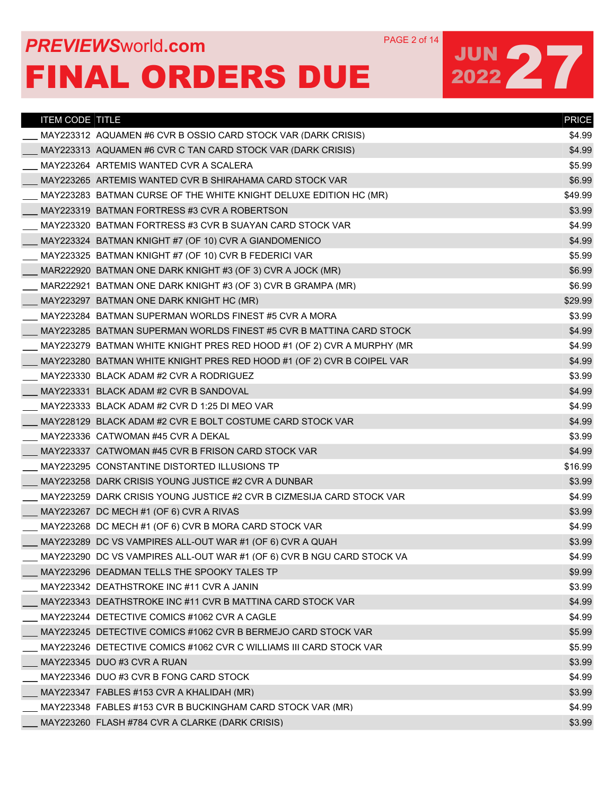## **PREVIEWS** WORLD **COM** PAGE 2 of 14 FINAL ORDERS DUE

| <b>ITEM CODE TITLE</b> |                                                                        | <b>PRICE</b> |
|------------------------|------------------------------------------------------------------------|--------------|
|                        | MAY223312 AQUAMEN #6 CVR B OSSIO CARD STOCK VAR (DARK CRISIS)          | \$4.99       |
|                        | MAY223313 AQUAMEN #6 CVR C TAN CARD STOCK VAR (DARK CRISIS)            | \$4.99       |
|                        | MAY223264 ARTEMIS WANTED CVR A SCALERA                                 | \$5.99       |
|                        | MAY223265 ARTEMIS WANTED CVR B SHIRAHAMA CARD STOCK VAR                | \$6.99       |
|                        | MAY223283 BATMAN CURSE OF THE WHITE KNIGHT DELUXE EDITION HC (MR)      | \$49.99      |
|                        | MAY223319 BATMAN FORTRESS #3 CVR A ROBERTSON                           | \$3.99       |
|                        | MAY223320 BATMAN FORTRESS #3 CVR B SUAYAN CARD STOCK VAR               | \$4.99       |
|                        | MAY223324 BATMAN KNIGHT #7 (OF 10) CVR A GIANDOMENICO                  | \$4.99       |
|                        | MAY223325 BATMAN KNIGHT #7 (OF 10) CVR B FEDERICI VAR                  | \$5.99       |
|                        | MAR222920 BATMAN ONE DARK KNIGHT #3 (OF 3) CVR A JOCK (MR)             | \$6.99       |
|                        | MAR222921 BATMAN ONE DARK KNIGHT #3 (OF 3) CVR B GRAMPA (MR)           | \$6.99       |
|                        | MAY223297 BATMAN ONE DARK KNIGHT HC (MR)                               | \$29.99      |
|                        | MAY223284 BATMAN SUPERMAN WORLDS FINEST #5 CVR A MORA                  | \$3.99       |
|                        | MAY223285 BATMAN SUPERMAN WORLDS FINEST #5 CVR B MATTINA CARD STOCK    | \$4.99       |
|                        | MAY223279 BATMAN WHITE KNIGHT PRES RED HOOD #1 (OF 2) CVR A MURPHY (MR | \$4.99       |
|                        | MAY223280 BATMAN WHITE KNIGHT PRES RED HOOD #1 (OF 2) CVR B COIPEL VAR | \$4.99       |
|                        | MAY223330 BLACK ADAM #2 CVR A RODRIGUEZ                                | \$3.99       |
|                        | MAY223331 BLACK ADAM #2 CVR B SANDOVAL                                 | \$4.99       |
|                        | MAY223333 BLACK ADAM #2 CVR D 1:25 DI MEO VAR                          | \$4.99       |
|                        | MAY228129 BLACK ADAM #2 CVR E BOLT COSTUME CARD STOCK VAR              | \$4.99       |
|                        | MAY223336 CATWOMAN #45 CVR A DEKAL                                     | \$3.99       |
|                        | MAY223337 CATWOMAN #45 CVR B FRISON CARD STOCK VAR                     | \$4.99       |
|                        | MAY223295 CONSTANTINE DISTORTED ILLUSIONS TP                           | \$16.99      |
|                        | MAY223258 DARK CRISIS YOUNG JUSTICE #2 CVR A DUNBAR                    | \$3.99       |
|                        | MAY223259 DARK CRISIS YOUNG JUSTICE #2 CVR B CIZMESIJA CARD STOCK VAR  | \$4.99       |
|                        | MAY223267 DC MECH #1 (OF 6) CVR A RIVAS                                | \$3.99       |
|                        | MAY223268 DC MECH #1 (OF 6) CVR B MORA CARD STOCK VAR                  | \$4.99       |
|                        | MAY223289 DC VS VAMPIRES ALL-OUT WAR #1 (OF 6) CVR A QUAH              | \$3.99       |
|                        | MAY223290 DC VS VAMPIRES ALL-OUT WAR #1 (OF 6) CVR B NGU CARD STOCK VA | \$4.99       |
|                        | MAY223296 DEADMAN TELLS THE SPOOKY TALES TP                            | \$9.99       |
|                        | MAY223342 DEATHSTROKE INC #11 CVR A JANIN                              | \$3.99       |
|                        | MAY223343 DEATHSTROKE INC #11 CVR B MATTINA CARD STOCK VAR             | \$4.99       |
|                        | MAY223244 DETECTIVE COMICS #1062 CVR A CAGLE                           | \$4.99       |
|                        | MAY223245 DETECTIVE COMICS #1062 CVR B BERMEJO CARD STOCK VAR          | \$5.99       |
|                        | MAY223246_DETECTIVE COMICS #1062 CVR C WILLIAMS III CARD STOCK VAR     | \$5.99       |
|                        | MAY223345 DUO #3 CVR A RUAN                                            | \$3.99       |
|                        | MAY223346 DUO #3 CVR B FONG CARD STOCK                                 | \$4.99       |
|                        | MAY223347 FABLES #153 CVR A KHALIDAH (MR)                              | \$3.99       |
|                        | MAY223348 FABLES #153 CVR B BUCKINGHAM CARD STOCK VAR (MR)             | \$4.99       |
|                        | MAY223260 FLASH #784 CVR A CLARKE (DARK CRISIS)                        | \$3.99       |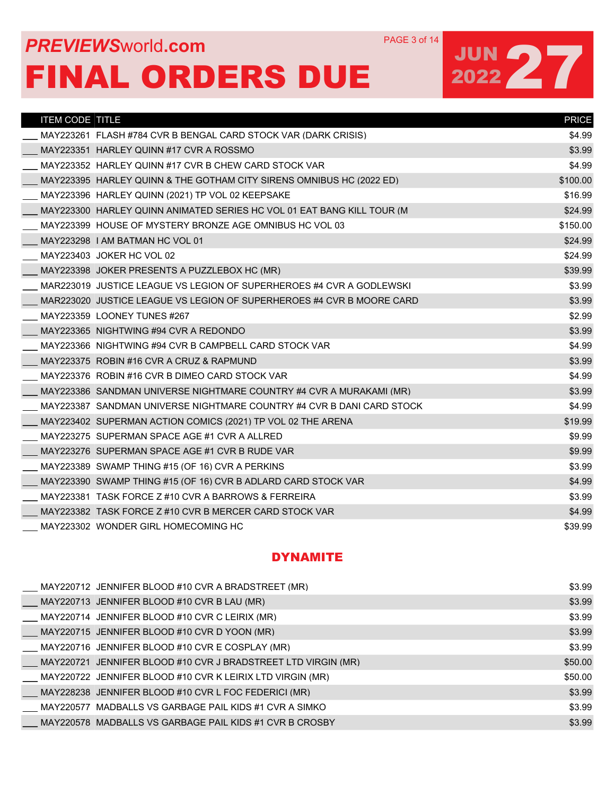## **PREVIEWS** WORLD **COM** PAGE 3 of 14 FINAL ORDERS DUE

# JUN 27

| <b>ITEM CODE TITLE</b>                                                 | <b>PRICE</b> |
|------------------------------------------------------------------------|--------------|
| MAY223261 FLASH #784 CVR B BENGAL CARD STOCK VAR (DARK CRISIS)         | \$4.99       |
| MAY223351 HARLEY QUINN #17 CVR A ROSSMO                                | \$3.99       |
| MAY223352 HARLEY QUINN #17 CVR B CHEW CARD STOCK VAR                   | \$4.99       |
| MAY223395 HARLEY QUINN & THE GOTHAM CITY SIRENS OMNIBUS HC (2022 ED)   | \$100.00     |
| MAY223396 HARLEY QUINN (2021) TP VOL 02 KEEPSAKE                       | \$16.99      |
| MAY223300 HARLEY QUINN ANIMATED SERIES HC VOL 01 EAT BANG KILL TOUR (M | \$24.99      |
| MAY223399 HOUSE OF MYSTERY BRONZE AGE OMNIBUS HC VOL 03                | \$150.00     |
| MAY223298 I AM BATMAN HC VOL 01                                        | \$24.99      |
| MAY223403 JOKER HC VOL 02                                              | \$24.99      |
| MAY223398 JOKER PRESENTS A PUZZLEBOX HC (MR)                           | \$39.99      |
| MAR223019 JUSTICE LEAGUE VS LEGION OF SUPERHEROES #4 CVR A GODLEWSKI   | \$3.99       |
| MAR223020 JUSTICE LEAGUE VS LEGION OF SUPERHEROES #4 CVR B MOORE CARD  | \$3.99       |
| MAY223359 LOONEY TUNES #267                                            | \$2.99       |
| MAY223365 NIGHTWING #94 CVR A REDONDO                                  | \$3.99       |
| MAY223366 NIGHTWING #94 CVR B CAMPBELL CARD STOCK VAR                  | \$4.99       |
| MAY223375 ROBIN #16 CVR A CRUZ & RAPMUND                               | \$3.99       |
| MAY223376 ROBIN #16 CVR B DIMEO CARD STOCK VAR                         | \$4.99       |
| MAY223386 SANDMAN UNIVERSE NIGHTMARE COUNTRY #4 CVR A MURAKAMI (MR)    | \$3.99       |
| MAY223387 SANDMAN UNIVERSE NIGHTMARE COUNTRY #4 CVR B DANI CARD STOCK  | \$4.99       |
| MAY223402 SUPERMAN ACTION COMICS (2021) TP VOL 02 THE ARENA            | \$19.99      |
| MAY223275 SUPERMAN SPACE AGE #1 CVR A ALLRED                           | \$9.99       |
| MAY223276 SUPERMAN SPACE AGE #1 CVR B RUDE VAR                         | \$9.99       |
| MAY223389 SWAMP THING #15 (OF 16) CVR A PERKINS                        | \$3.99       |
| MAY223390 SWAMP THING #15 (OF 16) CVR B ADLARD CARD STOCK VAR          | \$4.99       |
| MAY223381 TASK FORCE Z #10 CVR A BARROWS & FERREIRA                    | \$3.99       |
| MAY223382 TASK FORCE Z #10 CVR B MERCER CARD STOCK VAR                 | \$4.99       |
| MAY223302 WONDER GIRL HOMECOMING HC                                    | \$39.99      |

### DYNAMITE

| MAY220712 JENNIFER BLOOD #10 CVR A BRADSTREET (MR)               | \$3.99  |
|------------------------------------------------------------------|---------|
| ___ MAY220713 JENNIFER BLOOD #10 CVR B LAU (MR)                  | \$3.99  |
| MAY220714 JENNIFER BLOOD #10 CVR C LEIRIX (MR)                   | \$3.99  |
| MAY220715 JENNIFER BLOOD #10 CVR D YOON (MR)                     | \$3.99  |
| MAY220716_JENNIFER BLOOD #10 CVR E COSPLAY (MR)                  | \$3.99  |
| __ MAY220721 JENNIFER BLOOD #10 CVR J BRADSTREET LTD VIRGIN (MR) | \$50.00 |
| MAY220722 JENNIFER BLOOD #10 CVR K LEIRIX LTD VIRGIN (MR)        | \$50.00 |
| __ MAY228238 JENNIFER BLOOD #10 CVR L FOC FEDERICI (MR)          | \$3.99  |
| MAY220577_MADBALLS_VS_GARBAGE_PAIL_KIDS_#1_CVR_A_SIMKO           | \$3.99  |
| MAY220578_MADBALLS VS GARBAGE PAIL KIDS #1 CVR B CROSBY          | \$3.99  |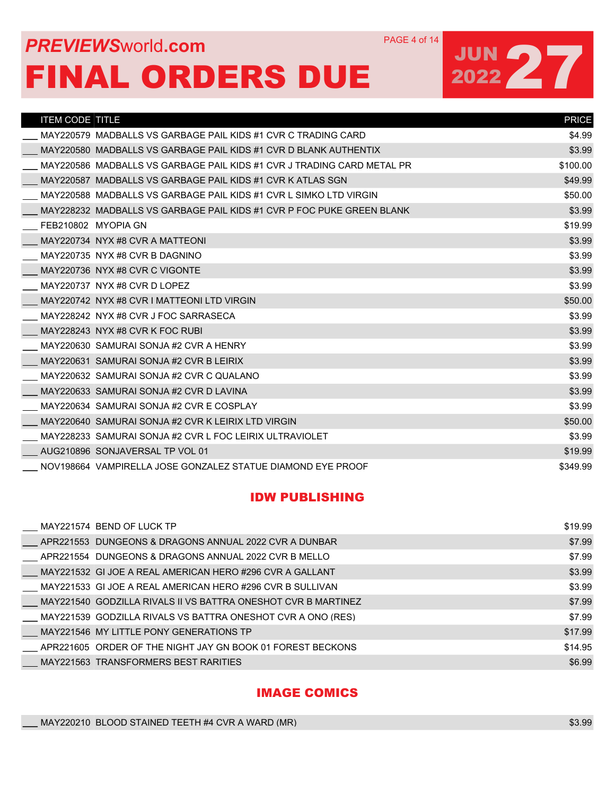### **PREVIEWS** WORLD **COM** PAGE 4 of 14 FINAL ORDERS DUE

JUN 27

| <b>ITEM CODE TITLE</b> |                                                                        | <b>PRICE</b> |
|------------------------|------------------------------------------------------------------------|--------------|
|                        | MAY220579 MADBALLS VS GARBAGE PAIL KIDS #1 CVR C TRADING CARD          | \$4.99       |
|                        | MAY220580 MADBALLS VS GARBAGE PAIL KIDS #1 CVR D BLANK AUTHENTIX       | \$3.99       |
|                        | MAY220586 MADBALLS VS GARBAGE PAIL KIDS #1 CVR J TRADING CARD METAL PR | \$100.00     |
|                        | MAY220587 MADBALLS VS GARBAGE PAIL KIDS #1 CVR K ATLAS SGN             | \$49.99      |
|                        | MAY220588 MADBALLS VS GARBAGE PAIL KIDS #1 CVR L SIMKO LTD VIRGIN      | \$50.00      |
|                        | MAY228232 MADBALLS VS GARBAGE PAIL KIDS #1 CVR P FOC PUKE GREEN BLANK  | \$3.99       |
|                        | FEB210802 MYOPIA GN                                                    | \$19.99      |
|                        | MAY220734 NYX #8 CVR A MATTEONI                                        | \$3.99       |
|                        | MAY220735 NYX #8 CVR B DAGNINO                                         | \$3.99       |
|                        | MAY220736 NYX #8 CVR C VIGONTE                                         | \$3.99       |
|                        | MAY220737 NYX #8 CVR D LOPEZ                                           | \$3.99       |
|                        | MAY220742 NYX #8 CVR I MATTEONI LTD VIRGIN                             | \$50.00      |
|                        | MAY228242 NYX #8 CVR J FOC SARRASECA                                   | \$3.99       |
|                        | MAY228243 NYX #8 CVR K FOC RUBI                                        | \$3.99       |
|                        | MAY220630 SAMURAI SONJA #2 CVR A HENRY                                 | \$3.99       |
|                        | MAY220631 SAMURAI SONJA #2 CVR B LEIRIX                                | \$3.99       |
|                        | MAY220632 SAMURAI SONJA #2 CVR C QUALANO                               | \$3.99       |
|                        | MAY220633 SAMURAI SONJA #2 CVR D LAVINA                                | \$3.99       |
|                        | MAY220634 SAMURAI SONJA #2 CVR E COSPLAY                               | \$3.99       |
|                        | MAY220640 SAMURAI SONJA #2 CVR K LEIRIX LTD VIRGIN                     | \$50.00      |
|                        | MAY228233 SAMURAI SONJA #2 CVR L FOC LEIRIX ULTRAVIOLET                | \$3.99       |
|                        | AUG210896 SONJAVERSAL TP VOL 01                                        | \$19.99      |
|                        | NOV198664 VAMPIRELLA JOSE GONZALEZ STATUE DIAMOND EYE PROOF            | \$349.99     |

#### IDW PUBLISHING

| MAY221574 BEND OF LUCK TP                                            | \$19.99 |
|----------------------------------------------------------------------|---------|
| $\_$ APR221553 $\,$ DUNGEONS & DRAGONS ANNUAL 2022 CVR A DUNBAR $\,$ | \$7.99  |
| APR221554 DUNGEONS & DRAGONS ANNUAL 2022 CVR B MELLO                 | \$7.99  |
| MAY221532_GI JOE A REAL AMERICAN HERO #296 CVR A GALLANT             | \$3.99  |
| MAY221533_GI JOE A REAL AMERICAN HERO #296 CVR B SULLIVAN            | \$3.99  |
| MAY221540  GODZILLA RIVALS II VS BATTRA ONESHOT CVR B MARTINEZ       | \$7.99  |
| MAY221539 GODZILLA RIVALS VS BATTRA ONESHOT CVR A ONO (RES)          | \$7.99  |
| MAY221546 MY LITTLE PONY GENERATIONS TP                              | \$17.99 |
| APR221605 ORDER OF THE NIGHT JAY GN BOOK 01 FOREST BECKONS           | \$14.95 |
| MAY221563 TRANSFORMERS BEST RARITIES                                 | \$6.99  |

IMAGE COMICS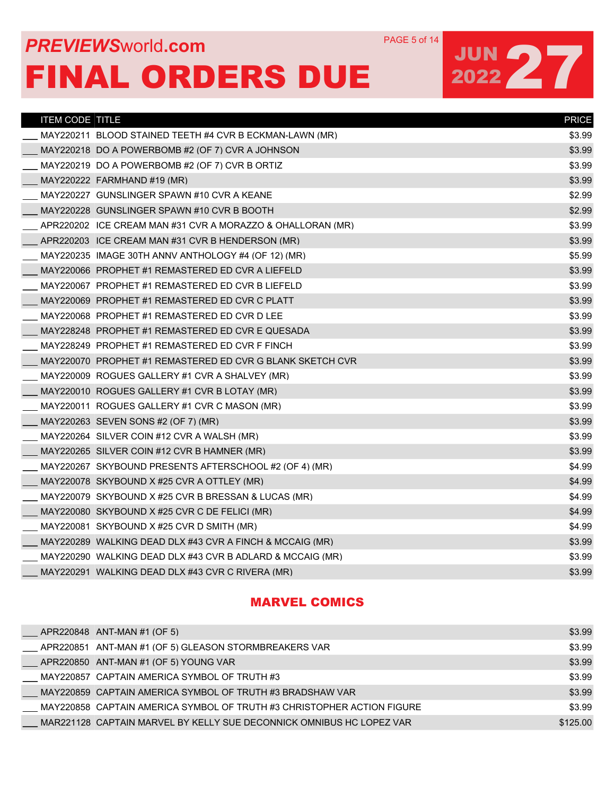## **PREVIEWS** WORLD **COM** PAGE 5 of 14 FINAL ORDERS DUE

## JUN 27

| <b>ITEM CODE TITLE</b> |                                                            | <b>PRICE</b> |
|------------------------|------------------------------------------------------------|--------------|
|                        | MAY220211 BLOOD STAINED TEETH #4 CVR B ECKMAN-LAWN (MR)    | \$3.99       |
|                        | MAY220218 DO A POWERBOMB #2 (OF 7) CVR A JOHNSON           | \$3.99       |
|                        | MAY220219 DO A POWERBOMB #2 (OF 7) CVR B ORTIZ             | \$3.99       |
|                        | MAY220222 FARMHAND #19 (MR)                                | \$3.99       |
|                        | MAY220227 GUNSLINGER SPAWN #10 CVR A KEANE                 | \$2.99       |
|                        | MAY220228 GUNSLINGER SPAWN #10 CVR B BOOTH                 | \$2.99       |
|                        | APR220202 ICE CREAM MAN #31 CVR A MORAZZO & OHALLORAN (MR) | \$3.99       |
|                        | APR220203 ICE CREAM MAN #31 CVR B HENDERSON (MR)           | \$3.99       |
|                        | MAY220235 IMAGE 30TH ANNV ANTHOLOGY #4 (OF 12) (MR)        | \$5.99       |
|                        | MAY220066 PROPHET #1 REMASTERED ED CVR A LIEFELD           | \$3.99       |
|                        | MAY220067 PROPHET #1 REMASTERED ED CVR B LIEFELD           | \$3.99       |
|                        | MAY220069 PROPHET #1 REMASTERED ED CVR C PLATT             | \$3.99       |
|                        | MAY220068 PROPHET #1 REMASTERED ED CVR D LEE               | \$3.99       |
|                        | MAY228248 PROPHET #1 REMASTERED ED CVR E QUESADA           | \$3.99       |
|                        | MAY228249 PROPHET #1 REMASTERED ED CVR F FINCH             | \$3.99       |
|                        | MAY220070 PROPHET #1 REMASTERED ED CVR G BLANK SKETCH CVR  | \$3.99       |
|                        | MAY220009 ROGUES GALLERY #1 CVR A SHALVEY (MR)             | \$3.99       |
|                        | MAY220010 ROGUES GALLERY #1 CVR B LOTAY (MR)               | \$3.99       |
|                        | MAY220011 ROGUES GALLERY #1 CVR C MASON (MR)               | \$3.99       |
|                        | MAY220263 SEVEN SONS #2 (OF 7) (MR)                        | \$3.99       |
|                        | MAY220264 SILVER COIN #12 CVR A WALSH (MR)                 | \$3.99       |
|                        | MAY220265 SILVER COIN #12 CVR B HAMNER (MR)                | \$3.99       |
|                        | MAY220267 SKYBOUND PRESENTS AFTERSCHOOL #2 (OF 4) (MR)     | \$4.99       |
|                        | MAY220078 SKYBOUND X #25 CVR A OTTLEY (MR)                 | \$4.99       |
|                        | MAY220079 SKYBOUND X #25 CVR B BRESSAN & LUCAS (MR)        | \$4.99       |
|                        | MAY220080 SKYBOUND X #25 CVR C DE FELICI (MR)              | \$4.99       |
|                        | MAY220081 SKYBOUND X #25 CVR D SMITH (MR)                  | \$4.99       |
|                        | MAY220289 WALKING DEAD DLX #43 CVR A FINCH & MCCAIG (MR)   | \$3.99       |
|                        | MAY220290 WALKING DEAD DLX #43 CVR B ADLARD & MCCAIG (MR)  | \$3.99       |
|                        | MAY220291 WALKING DEAD DLX #43 CVR C RIVERA (MR)           | \$3.99       |

#### MARVEL COMICS

| APR220848 ANT-MAN #1 (OF 5)                                            | \$3.99   |
|------------------------------------------------------------------------|----------|
| APR220851_ANT-MAN #1 (OF 5) GLEASON STORMBREAKERS VAR                  | \$3.99   |
| $\_\_\_\$ APR220850 ANT-MAN #1 (OF 5) YOUNG VAR                        | \$3.99   |
| MAY220857 CAPTAIN AMERICA SYMBOL OF TRUTH #3                           | \$3.99   |
| MAY220859 CAPTAIN AMERICA SYMBOL OF TRUTH #3 BRADSHAW VAR              | \$3.99   |
| MAY220858 CAPTAIN AMERICA SYMBOL OF TRUTH #3 CHRISTOPHER ACTION FIGURE | \$3.99   |
| MAR221128 CAPTAIN MARVEL BY KELLY SUE DECONNICK OMNIBUS HC LOPEZ VAR   | \$125.00 |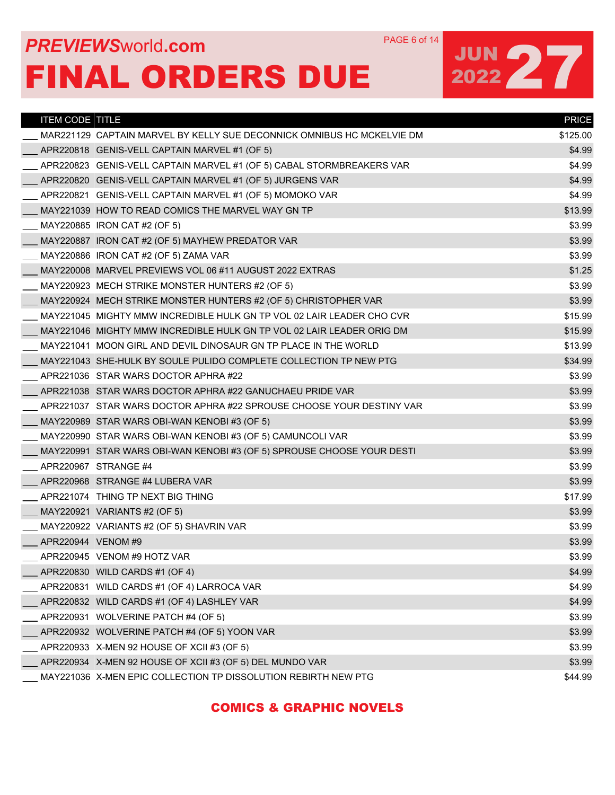#### COMICS & GRAPHIC NOVELS

| <b>ITEM CODE TITLE</b>                                     |                                                                        | <b>PRICE</b> |
|------------------------------------------------------------|------------------------------------------------------------------------|--------------|
|                                                            | MAR221129 CAPTAIN MARVEL BY KELLY SUE DECONNICK OMNIBUS HC MCKELVIE DM | \$125.00     |
| APR220818 GENIS-VELL CAPTAIN MARVEL #1 (OF 5)              |                                                                        | \$4.99       |
|                                                            | APR220823_GENIS-VELL CAPTAIN MARVEL #1 (OF 5) CABAL STORMBREAKERS VAR  | \$4.99       |
| APR220820 GENIS-VELL CAPTAIN MARVEL #1 (OF 5) JURGENS VAR  |                                                                        | \$4.99       |
| APR220821 GENIS-VELL CAPTAIN MARVEL #1 (OF 5) MOMOKO VAR   |                                                                        | \$4.99       |
| MAY221039 HOW TO READ COMICS THE MARVEL WAY GN TP          |                                                                        | \$13.99      |
| MAY220885 IRON CAT #2 (OF 5)                               |                                                                        | \$3.99       |
| MAY220887 IRON CAT #2 (OF 5) MAYHEW PREDATOR VAR           |                                                                        | \$3.99       |
| MAY220886 IRON CAT #2 (OF 5) ZAMA VAR                      |                                                                        | \$3.99       |
| MAY220008 MARVEL PREVIEWS VOL 06 #11 AUGUST 2022 EXTRAS    |                                                                        | \$1.25       |
| MAY220923 MECH STRIKE MONSTER HUNTERS #2 (OF 5)            |                                                                        | \$3.99       |
|                                                            | MAY220924 MECH STRIKE MONSTER HUNTERS #2 (OF 5) CHRISTOPHER VAR        | \$3.99       |
|                                                            | MAY221045 MIGHTY MMW INCREDIBLE HULK GN TP VOL 02 LAIR LEADER CHO CVR  | \$15.99      |
|                                                            | MAY221046 MIGHTY MMW INCREDIBLE HULK GN TP VOL 02 LAIR LEADER ORIG DM  | \$15.99      |
|                                                            | MAY221041 MOON GIRL AND DEVIL DINOSAUR GN TP PLACE IN THE WORLD        | \$13.99      |
|                                                            | MAY221043 SHE-HULK BY SOULE PULIDO COMPLETE COLLECTION TP NEW PTG      | \$34.99      |
| APR221036 STAR WARS DOCTOR APHRA #22                       |                                                                        | \$3.99       |
| APR221038 STAR WARS DOCTOR APHRA #22 GANUCHAEU PRIDE VAR   |                                                                        | \$3.99       |
|                                                            | APR221037 STAR WARS DOCTOR APHRA #22 SPROUSE CHOOSE YOUR DESTINY VAR   | \$3.99       |
| MAY220989 STAR WARS OBI-WAN KENOBI #3 (OF 5)               |                                                                        | \$3.99       |
| MAY220990 STAR WARS OBI-WAN KENOBI #3 (OF 5) CAMUNCOLI VAR |                                                                        | \$3.99       |
|                                                            | MAY220991 STAR WARS OBI-WAN KENOBI #3 (OF 5) SPROUSE CHOOSE YOUR DESTI | \$3.99       |
| APR220967 STRANGE #4                                       |                                                                        | \$3.99       |
| APR220968 STRANGE #4 LUBERA VAR                            |                                                                        | \$3.99       |
| APR221074 THING TP NEXT BIG THING                          |                                                                        | \$17.99      |
| MAY220921 VARIANTS #2 (OF 5)                               |                                                                        | \$3.99       |
| MAY220922 VARIANTS #2 (OF 5) SHAVRIN VAR                   |                                                                        | \$3.99       |
| APR220944 VENOM #9                                         |                                                                        | \$3.99       |
| APR220945 VENOM #9 HOTZ VAR                                |                                                                        | \$3.99       |
| APR220830 WILD CARDS #1 (OF 4)                             |                                                                        | \$4.99       |
| APR220831 WILD CARDS #1 (OF 4) LARROCA VAR                 |                                                                        | \$4.99       |
| APR220832 WILD CARDS #1 (OF 4) LASHLEY VAR                 |                                                                        | \$4.99       |
| APR220931 WOLVERINE PATCH #4 (OF 5)                        |                                                                        | \$3.99       |
| APR220932 WOLVERINE PATCH #4 (OF 5) YOON VAR               |                                                                        | \$3.99       |
| APR220933 X-MEN 92 HOUSE OF XCII #3 (OF 5)                 |                                                                        | \$3.99       |
| APR220934 X-MEN 92 HOUSE OF XCII #3 (OF 5) DEL MUNDO VAR   |                                                                        | \$3.99       |
|                                                            | MAY221036 X-MEN EPIC COLLECTION TP DISSOLUTION REBIRTH NEW PTG         | \$44.99      |

### **PREVIEWS** WORLD **COM** PAGE 6 of 14 FINAL ORDERS DUE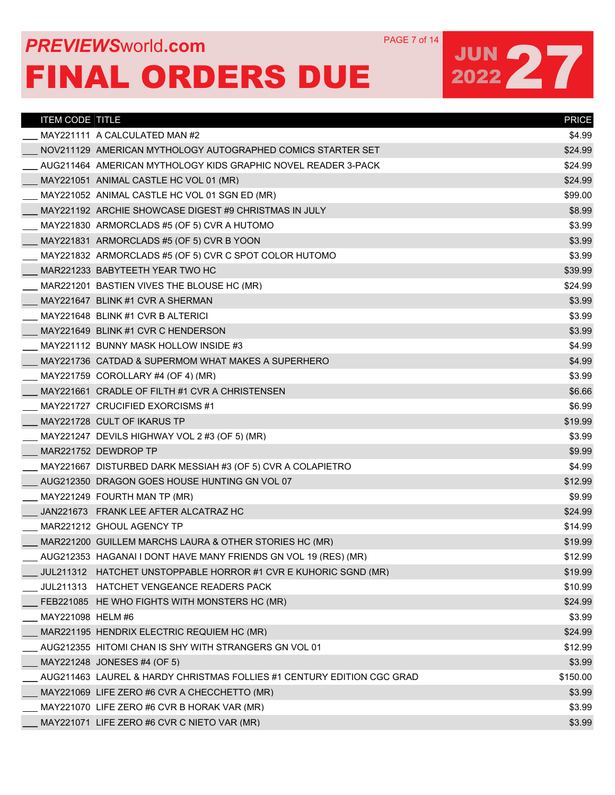## **PREVIEWS** WORLD **COM** PAGE 7 of 14 FINAL ORDERS DUE

| <b>ITEM CODE TITLE</b> |                                                                        | <b>PRICE</b> |
|------------------------|------------------------------------------------------------------------|--------------|
|                        | MAY221111 A CALCULATED MAN #2                                          | \$4.99       |
|                        | NOV211129_AMERICAN MYTHOLOGY AUTOGRAPHED COMICS STARTER SET            | \$24.99      |
|                        | AUG211464 AMERICAN MYTHOLOGY KIDS GRAPHIC NOVEL READER 3-PACK          | \$24.99      |
|                        | MAY221051 ANIMAL CASTLE HC VOL 01 (MR)                                 | \$24.99      |
|                        | MAY221052 ANIMAL CASTLE HC VOL 01 SGN ED (MR)                          | \$99.00      |
|                        | MAY221192 ARCHIE SHOWCASE DIGEST #9 CHRISTMAS IN JULY                  | \$8.99       |
|                        | MAY221830 ARMORCLADS #5 (OF 5) CVR A HUTOMO                            | \$3.99       |
|                        | MAY221831 ARMORCLADS #5 (OF 5) CVR B YOON                              | \$3.99       |
|                        | MAY221832 ARMORCLADS #5 (OF 5) CVR C SPOT COLOR HUTOMO                 | \$3.99       |
|                        | MAR221233 BABYTEETH YEAR TWO HC                                        | \$39.99      |
|                        | MAR221201 BASTIEN VIVES THE BLOUSE HC (MR)                             | \$24.99      |
|                        | MAY221647 BLINK #1 CVR A SHERMAN                                       | \$3.99       |
|                        | MAY221648 BLINK #1 CVR B ALTERICI                                      | \$3.99       |
|                        | MAY221649 BLINK #1 CVR C HENDERSON                                     | \$3.99       |
|                        | MAY221112 BUNNY MASK HOLLOW INSIDE #3                                  | \$4.99       |
|                        | MAY221736 CATDAD & SUPERMOM WHAT MAKES A SUPERHERO                     | \$4.99       |
|                        | MAY221759 COROLLARY #4 (OF 4) (MR)                                     | \$3.99       |
|                        | MAY221661 CRADLE OF FILTH #1 CVR A CHRISTENSEN                         | \$6.66       |
|                        | MAY221727 CRUCIFIED EXORCISMS #1                                       | \$6.99       |
|                        | MAY221728 CULT OF IKARUS TP                                            | \$19.99      |
|                        | MAY221247 DEVILS HIGHWAY VOL 2 #3 (OF 5) (MR)                          | \$3.99       |
|                        | MAR221752 DEWDROP TP                                                   | \$9.99       |
|                        | MAY221667 DISTURBED DARK MESSIAH #3 (OF 5) CVR A COLAPIETRO            | \$4.99       |
|                        | AUG212350 DRAGON GOES HOUSE HUNTING GN VOL 07                          | \$12.99      |
|                        | MAY221249 FOURTH MAN TP (MR)                                           | \$9.99       |
|                        | JAN221673 FRANK LEE AFTER ALCATRAZ HC                                  | \$24.99      |
|                        | MAR221212 GHOUL AGENCY TP                                              | \$14.99      |
|                        | MAR221200 GUILLEM MARCHS LAURA & OTHER STORIES HC (MR)                 | \$19.99      |
|                        | AUG212353 HAGANAI I DONT HAVE MANY FRIENDS GN VOL 19 (RES) (MR)        | \$12.99      |
|                        | JUL211312 HATCHET UNSTOPPABLE HORROR #1 CVR E KUHORIC SGND (MR)        | \$19.99      |
|                        | JUL211313 HATCHET VENGEANCE READERS PACK                               | \$10.99      |
|                        | FEB221085 HE WHO FIGHTS WITH MONSTERS HC (MR)                          | \$24.99      |
| MAY221098 HELM #6      |                                                                        | \$3.99       |
|                        | MAR221195 HENDRIX ELECTRIC REQUIEM HC (MR)                             | \$24.99      |
|                        | AUG212355 HITOMI CHAN IS SHY WITH STRANGERS GN VOL 01                  | \$12.99      |
|                        | MAY221248 JONESES #4 (OF 5)                                            | \$3.99       |
|                        | AUG211463 LAUREL & HARDY CHRISTMAS FOLLIES #1 CENTURY EDITION CGC GRAD | \$150.00     |
|                        | MAY221069 LIFE ZERO #6 CVR A CHECCHETTO (MR)                           | \$3.99       |
|                        | MAY221070 LIFE ZERO #6 CVR B HORAK VAR (MR)                            | \$3.99       |
|                        | MAY221071 LIFE ZERO #6 CVR C NIETO VAR (MR)                            | \$3.99       |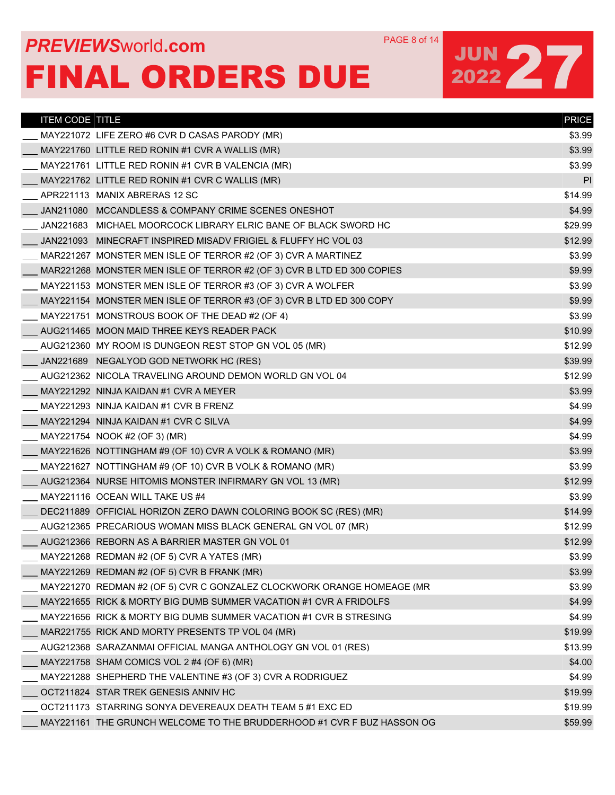## **PREVIEWS** WORLD **COM** PAGE 8 of 14 FINAL ORDERS DUE

| <b>ITEM CODE TITLE</b> |                                                                        | <b>PRICE</b> |
|------------------------|------------------------------------------------------------------------|--------------|
|                        | MAY221072 LIFE ZERO #6 CVR D CASAS PARODY (MR)                         | \$3.99       |
|                        | MAY221760 LITTLE RED RONIN #1 CVR A WALLIS (MR)                        | \$3.99       |
|                        | MAY221761 LITTLE RED RONIN #1 CVR B VALENCIA (MR)                      | \$3.99       |
|                        | MAY221762 LITTLE RED RONIN #1 CVR C WALLIS (MR)                        | PI           |
|                        | APR221113 MANIX ABRERAS 12 SC                                          | \$14.99      |
|                        | JAN211080 MCCANDLESS & COMPANY CRIME SCENES ONESHOT                    | \$4.99       |
|                        | JAN221683 MICHAEL MOORCOCK LIBRARY ELRIC BANE OF BLACK SWORD HC        | \$29.99      |
|                        | JAN221093 MINECRAFT INSPIRED MISADV FRIGIEL & FLUFFY HC VOL 03         | \$12.99      |
|                        | MAR221267 MONSTER MEN ISLE OF TERROR #2 (OF 3) CVR A MARTINEZ          | \$3.99       |
|                        | MAR221268 MONSTER MEN ISLE OF TERROR #2 (OF 3) CVR B LTD ED 300 COPIES | \$9.99       |
|                        | MAY221153 MONSTER MEN ISLE OF TERROR #3 (OF 3) CVR A WOLFER            | \$3.99       |
|                        | MAY221154 MONSTER MEN ISLE OF TERROR #3 (OF 3) CVR B LTD ED 300 COPY   | \$9.99       |
|                        | $MAY221751$ MONSTROUS BOOK OF THE DEAD #2 (OF 4)                       | \$3.99       |
|                        | AUG211465 MOON MAID THREE KEYS READER PACK                             | \$10.99      |
|                        | AUG212360 MY ROOM IS DUNGEON REST STOP GN VOL 05 (MR)                  | \$12.99      |
|                        | JAN221689 NEGALYOD GOD NETWORK HC (RES)                                | \$39.99      |
|                        | AUG212362 NICOLA TRAVELING AROUND DEMON WORLD GN VOL 04                | \$12.99      |
|                        | MAY221292 NINJA KAIDAN #1 CVR A MEYER                                  | \$3.99       |
|                        | MAY221293 NINJA KAIDAN #1 CVR B FRENZ                                  | \$4.99       |
|                        | MAY221294 NINJA KAIDAN #1 CVR C SILVA                                  | \$4.99       |
|                        | MAY221754 NOOK #2 (OF 3) (MR)                                          | \$4.99       |
|                        | MAY221626 NOTTINGHAM #9 (OF 10) CVR A VOLK & ROMANO (MR)               | \$3.99       |
|                        | MAY221627 NOTTINGHAM #9 (OF 10) CVR B VOLK & ROMANO (MR)               | \$3.99       |
|                        | AUG212364 NURSE HITOMIS MONSTER INFIRMARY GN VOL 13 (MR)               | \$12.99      |
|                        | MAY221116 OCEAN WILL TAKE US #4                                        | \$3.99       |
|                        | DEC211889 OFFICIAL HORIZON ZERO DAWN COLORING BOOK SC (RES) (MR)       | \$14.99      |
|                        | AUG212365 PRECARIOUS WOMAN MISS BLACK GENERAL GN VOL 07 (MR)           | \$12.99      |
|                        | AUG212366 REBORN AS A BARRIER MASTER GN VOL 01                         | \$12.99      |
|                        | MAY221268 REDMAN #2 (OF 5) CVR A YATES (MR)                            | \$3.99       |
|                        | MAY221269 REDMAN #2 (OF 5) CVR B FRANK (MR)                            | \$3.99       |
|                        | MAY221270 REDMAN #2 (OF 5) CVR C GONZALEZ CLOCKWORK ORANGE HOMEAGE (MR | \$3.99       |
|                        | MAY221655 RICK & MORTY BIG DUMB SUMMER VACATION #1 CVR A FRIDOLFS      | \$4.99       |
|                        | MAY221656_RICK & MORTY BIG DUMB SUMMER VACATION #1 CVR B STRESING      | \$4.99       |
|                        | MAR221755 RICK AND MORTY PRESENTS TP VOL 04 (MR)                       | \$19.99      |
|                        | AUG212368 SARAZANMAI OFFICIAL MANGA ANTHOLOGY GN VOL 01 (RES)          | \$13.99      |
|                        | MAY221758 SHAM COMICS VOL 2 #4 (OF 6) (MR)                             | \$4.00       |
|                        | MAY221288 SHEPHERD THE VALENTINE #3 (OF 3) CVR A RODRIGUEZ             | \$4.99       |
|                        | OCT211824 STAR TREK GENESIS ANNIV HC                                   | \$19.99      |
|                        | OCT211173 STARRING SONYA DEVEREAUX DEATH TEAM 5#1 EXC ED               | \$19.99      |
|                        | MAY221161 THE GRUNCH WELCOME TO THE BRUDDERHOOD #1 CVR F BUZ HASSON OG | \$59.99      |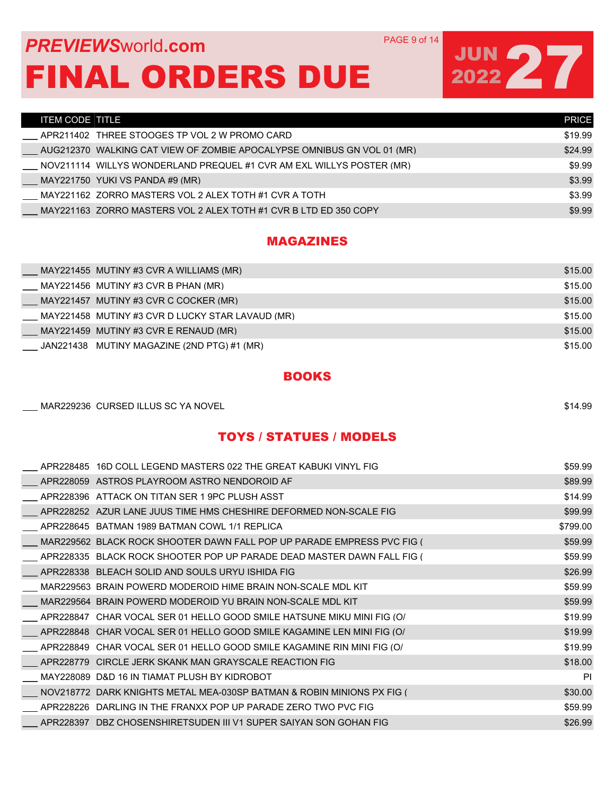### **PREVIEWS** WORLD **COM** PAGE 9 of 14 FINAL ORDERS DUE

## JUN 27

| ITEM CODE TITLE                                                                 | <b>PRICE</b> |
|---------------------------------------------------------------------------------|--------------|
| APR211402 THREE STOOGES TP VOL 2 W PROMO CARD                                   | \$19.99      |
| AUG212370  WALKING CAT VIEW OF ZOMBIE APOCALYPSE OMNIBUS GN VOL 01 (MR)         | \$24.99      |
| NOV211114_WILLYS WONDERLAND PREQUEL #1 CVR AM EXL WILLYS POSTER (MR)            | \$9.99       |
| MAY221750 YUKI VS PANDA #9 (MR)                                                 | \$3.99       |
| MAY221162   ZORRO MASTERS VOL 2 ALEX TOTH #1 CVR A TOTH                         | \$3.99       |
| $\_$ MAY221163 $\,$ ZORRO MASTERS VOL 2 ALEX TOTH #1 CVR B LTD ED 350 COPY $\,$ | \$9.99       |

### MAGAZINES

| MAY221455 MUTINY #3 CVR A WILLIAMS (MR)          | \$15.00 |
|--------------------------------------------------|---------|
| MAY221456 MUTINY #3 CVR B PHAN (MR)              | \$15.00 |
| MAY221457 MUTINY #3 CVR C COCKER (MR)            | \$15.00 |
| MAY221458 MUTINY #3 CVR D LUCKY STAR LAVAUD (MR) | \$15.00 |
| MAY221459 MUTINY #3 CVR E RENAUD (MR)            | \$15.00 |
| JAN221438 MUTINY MAGAZINE (2ND PTG) #1 (MR)      | \$15.00 |

### **BOOKS**

| MAR229236 CURSED ILLUS SC YA NOVEL | \$14.99 |  |
|------------------------------------|---------|--|
|                                    |         |  |

### TOYS / STATUES / MODELS

|           | APR228485 16D COLL LEGEND MASTERS 022 THE GREAT KABUKI VINYL FIG       | \$59.99   |
|-----------|------------------------------------------------------------------------|-----------|
|           | APR228059 ASTROS PLAYROOM ASTRO NENDOROID AF                           | \$89.99   |
|           | APR228396 ATTACK ON TITAN SER 1 9PC PLUSH ASST                         | \$14.99   |
|           | APR228252 AZUR LANE JUUS TIME HMS CHESHIRE DEFORMED NON-SCALE FIG      | \$99.99   |
|           | APR228645 BATMAN 1989 BATMAN COWL 1/1 REPLICA                          | \$799.00  |
|           | MAR229562 BLACK ROCK SHOOTER DAWN FALL POP UP PARADE EMPRESS PVC FIG ( | \$59.99   |
|           | APR228335 BLACK ROCK SHOOTER POP UP PARADE DEAD MASTER DAWN FALL FIG ( | \$59.99   |
|           | APR228338 BLEACH SOLID AND SOULS URYU ISHIDA FIG                       | \$26.99   |
|           | MAR229563 BRAIN POWERD MODEROID HIME BRAIN NON-SCALE MDL KIT           | \$59.99   |
|           | MAR229564 BRAIN POWERD MODEROID YU BRAIN NON-SCALE MDL KIT             | \$59.99   |
|           | APR228847 CHAR VOCAL SER 01 HELLO GOOD SMILE HATSUNE MIKU MINI FIG (O) | \$19.99   |
|           | APR228848 CHAR VOCAL SER 01 HELLO GOOD SMILE KAGAMINE LEN MINI FIG (O/ | \$19.99   |
| APR228849 | CHAR VOCAL SER 01 HELLO GOOD SMILE KAGAMINE RIN MINI FIG (O)           | \$19.99   |
|           | APR228779 CIRCLE JERK SKANK MAN GRAYSCALE REACTION FIG                 | \$18.00   |
|           | MAY228089 D&D 16 IN TIAMAT PLUSH BY KIDROBOT                           | <b>PI</b> |
|           | NOV218772 DARK KNIGHTS METAL MEA-030SP BATMAN & ROBIN MINIONS PX FIG ( | \$30.00   |
|           | APR228226 DARLING IN THE FRANXX POP UP PARADE ZERO TWO PVC FIG         | \$59.99   |
|           | APR228397 DBZ CHOSENSHIRETSUDEN III V1 SUPER SAIYAN SON GOHAN FIG      | \$26.99   |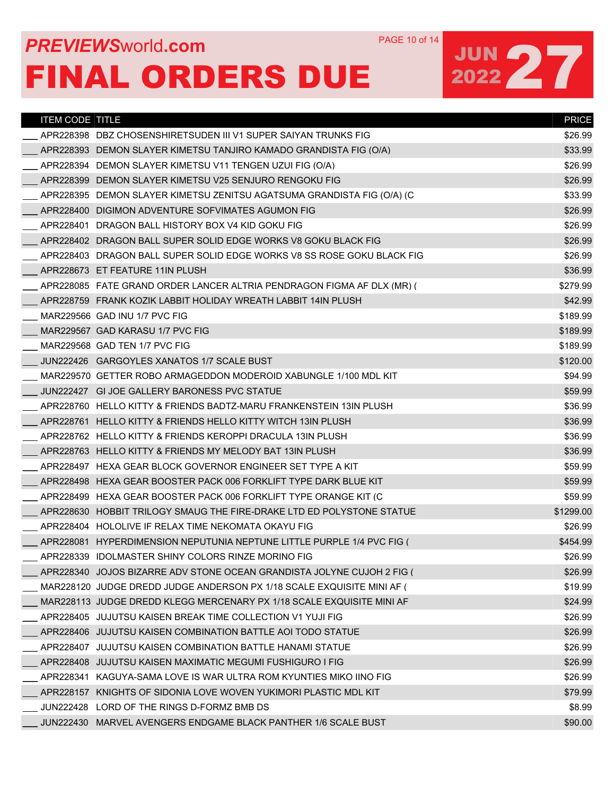## **PREVIEWS** WORLD **COM** PAGE 10 of 14 FINAL ORDERS DUE

| <b>ITEM CODE TITLE</b> |                                                                        | <b>PRICE</b> |
|------------------------|------------------------------------------------------------------------|--------------|
|                        |                                                                        | \$26.99      |
|                        | APR228393 DEMON SLAYER KIMETSU TANJIRO KAMADO GRANDISTA FIG (O/A)      | \$33.99      |
|                        | APR228394 DEMON SLAYER KIMETSU V11 TENGEN UZUI FIG (O/A)               | \$26.99      |
|                        | APR228399 DEMON SLAYER KIMETSU V25 SENJURO RENGOKU FIG                 | \$26.99      |
|                        | APR228395 DEMON SLAYER KIMETSU ZENITSU AGATSUMA GRANDISTA FIG (O/A) (C | \$33.99      |
|                        | APR228400 DIGIMON ADVENTURE SOFVIMATES AGUMON FIG                      | \$26.99      |
|                        | APR228401 DRAGON BALL HISTORY BOX V4 KID GOKU FIG                      | \$26.99      |
|                        | APR228402 DRAGON BALL SUPER SOLID EDGE WORKS V8 GOKU BLACK FIG         | \$26.99      |
|                        | APR228403 DRAGON BALL SUPER SOLID EDGE WORKS V8 SS ROSE GOKU BLACK FIG | \$26.99      |
|                        | APR228673 ET FEATURE 11IN PLUSH                                        | \$36.99      |
|                        | APR228085 FATE GRAND ORDER LANCER ALTRIA PENDRAGON FIGMA AF DLX (MR) ( | \$279.99     |
|                        | APR228759 FRANK KOZIK LABBIT HOLIDAY WREATH LABBIT 14IN PLUSH          | \$42.99      |
|                        | MAR229566 GAD INU 1/7 PVC FIG                                          | \$189.99     |
|                        | MAR229567 GAD KARASU 1/7 PVC FIG                                       | \$189.99     |
|                        | MAR229568 GAD TEN 1/7 PVC FIG                                          | \$189.99     |
|                        | JUN222426 GARGOYLES XANATOS 1/7 SCALE BUST                             | \$120.00     |
|                        | MAR229570 GETTER ROBO ARMAGEDDON MODEROID XABUNGLE 1/100 MDL KIT       | \$94.99      |
|                        | JUN222427 GI JOE GALLERY BARONESS PVC STATUE                           | \$59.99      |
|                        | APR228760 HELLO KITTY & FRIENDS BADTZ-MARU FRANKENSTEIN 13IN PLUSH     | \$36.99      |
|                        | APR228761 HELLO KITTY & FRIENDS HELLO KITTY WITCH 13IN PLUSH           | \$36.99      |
|                        | APR228762 HELLO KITTY & FRIENDS KEROPPI DRACULA 13IN PLUSH             | \$36.99      |
|                        | APR228763 HELLO KITTY & FRIENDS MY MELODY BAT 13IN PLUSH               | \$36.99      |
|                        | APR228497 HEXA GEAR BLOCK GOVERNOR ENGINEER SET TYPE A KIT             | \$59.99      |
|                        | APR228498 HEXA GEAR BOOSTER PACK 006 FORKLIFT TYPE DARK BLUE KIT       | \$59.99      |
|                        | APR228499 HEXA GEAR BOOSTER PACK 006 FORKLIFT TYPE ORANGE KIT (C       | \$59.99      |
|                        | APR228630 HOBBIT TRILOGY SMAUG THE FIRE-DRAKE LTD ED POLYSTONE STATUE  | \$1299.00    |
|                        | APR228404 HOLOLIVE IF RELAX TIME NEKOMATA OKAYU FIG                    | \$26.99      |
|                        | APR228081 HYPERDIMENSION NEPUTUNIA NEPTUNE LITTLE PURPLE 1/4 PVC FIG ( | \$454.99     |
|                        | APR228339 IDOLMASTER SHINY COLORS RINZE MORINO FIG                     | \$26.99      |
|                        | APR228340 JOJOS BIZARRE ADV STONE OCEAN GRANDISTA JOLYNE CUJOH 2 FIG ( | \$26.99      |
|                        | MAR228120 JUDGE DREDD JUDGE ANDERSON PX 1/18 SCALE EXQUISITE MINI AF ( | \$19.99      |
|                        | MAR228113 JUDGE DREDD KLEGG MERCENARY PX 1/18 SCALE EXQUISITE MINI AF  | \$24.99      |
|                        | APR228405_JUJUTSU KAISEN BREAK TIME COLLECTION V1 YUJI FIG             | \$26.99      |
|                        | APR228406 JUJUTSU KAISEN COMBINATION BATTLE AOI TODO STATUE            | \$26.99      |
|                        | APR228407 JUJUTSU KAISEN COMBINATION BATTLE HANAMI STATUE              | \$26.99      |
|                        | APR228408 JUJUTSU KAISEN MAXIMATIC MEGUMI FUSHIGURO I FIG              | \$26.99      |
|                        | APR228341_KAGUYA-SAMA LOVE IS WAR ULTRA ROM KYUNTIES MIKO IINO FIG     | \$26.99      |
|                        | APR228157 KNIGHTS OF SIDONIA LOVE WOVEN YUKIMORI PLASTIC MDL KIT       | \$79.99      |
|                        | JUN222428 LORD OF THE RINGS D-FORMZ BMB DS                             | \$8.99       |
|                        | JUN222430 MARVEL AVENGERS ENDGAME BLACK PANTHER 1/6 SCALE BUST         | \$90.00      |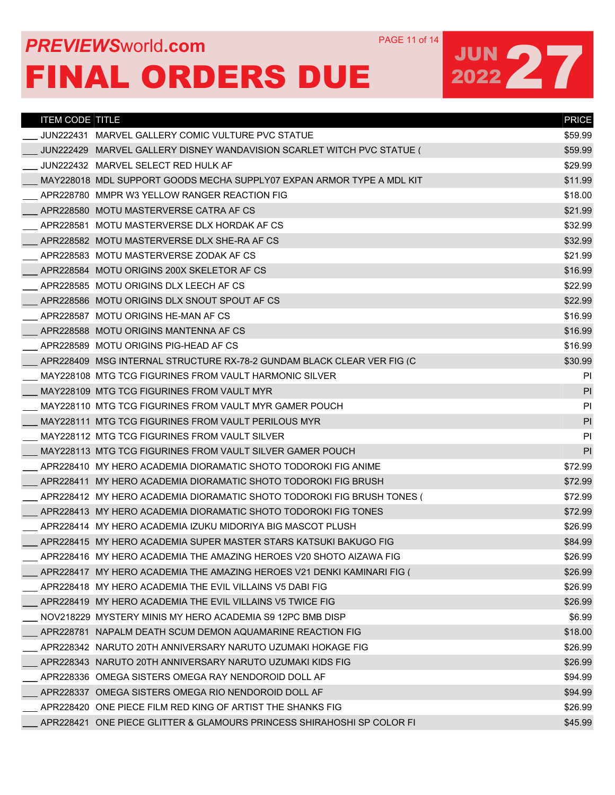## **PREVIEWS** WORLD **COM** PAGE 11 of 14 FINAL ORDERS DUE

| <b>ITEM CODE TITLE</b> |                                                                          | <b>PRICE</b> |
|------------------------|--------------------------------------------------------------------------|--------------|
|                        | JUN222431   MARVEL GALLERY COMIC VULTURE PVC STATUE                      | \$59.99      |
|                        | JUN222429 MARVEL GALLERY DISNEY WANDAVISION SCARLET WITCH PVC STATUE (   | \$59.99      |
|                        | JUN222432 MARVEL SELECT RED HULK AF                                      | \$29.99      |
|                        | MAY228018 MDL SUPPORT GOODS MECHA SUPPLY07 EXPAN ARMOR TYPE A MDL KIT    | \$11.99      |
|                        | APR228780 MMPR W3 YELLOW RANGER REACTION FIG                             | \$18.00      |
|                        | APR228580 MOTU MASTERVERSE CATRA AF CS                                   | \$21.99      |
|                        | APR228581 MOTU MASTERVERSE DLX HORDAK AF CS                              | \$32.99      |
|                        | APR228582 MOTU MASTERVERSE DLX SHE-RA AF CS                              | \$32.99      |
|                        | APR228583 MOTU MASTERVERSE ZODAK AF CS                                   | \$21.99      |
|                        | APR228584 MOTU ORIGINS 200X SKELETOR AF CS                               | \$16.99      |
|                        | APR228585 MOTU ORIGINS DLX LEECH AF CS                                   | \$22.99      |
|                        | APR228586 MOTU ORIGINS DLX SNOUT SPOUT AF CS                             | \$22.99      |
|                        | APR228587 MOTU ORIGINS HE-MAN AF CS                                      | \$16.99      |
|                        | APR228588 MOTU ORIGINS MANTENNA AF CS                                    | \$16.99      |
|                        | APR228589 MOTU ORIGINS PIG-HEAD AF CS                                    | \$16.99      |
|                        | APR228409 MSG INTERNAL STRUCTURE RX-78-2 GUNDAM BLACK CLEAR VER FIG (C   | \$30.99      |
|                        | MAY228108 MTG TCG FIGURINES FROM VAULT HARMONIC SILVER                   | PI           |
|                        | MAY228109 MTG TCG FIGURINES FROM VAULT MYR                               | PI           |
|                        | MAY228110 MTG TCG FIGURINES FROM VAULT MYR GAMER POUCH                   | PI           |
|                        | MAY228111 MTG TCG FIGURINES FROM VAULT PERILOUS MYR                      | PI           |
|                        | MAY228112 MTG TCG FIGURINES FROM VAULT SILVER                            | PI           |
|                        | MAY228113 MTG TCG FIGURINES FROM VAULT SILVER GAMER POUCH                | PI           |
|                        | APR228410 MY HERO ACADEMIA DIORAMATIC SHOTO TODOROKI FIG ANIME           | \$72.99      |
|                        | APR228411 MY HERO ACADEMIA DIORAMATIC SHOTO TODOROKI FIG BRUSH           | \$72.99      |
|                        | APR228412   MY HERO ACADEMIA DIORAMATIC SHOTO TODOROKI FIG BRUSH TONES ( | \$72.99      |
|                        | APR228413 MY HERO ACADEMIA DIORAMATIC SHOTO TODOROKI FIG TONES           | \$72.99      |
|                        | APR228414 MY HERO ACADEMIA IZUKU MIDORIYA BIG MASCOT PLUSH               | \$26.99      |
|                        | APR228415 MY HERO ACADEMIA SUPER MASTER STARS KATSUKI BAKUGO FIG         | \$84.99      |
|                        | APR228416   MY HERO ACADEMIA THE AMAZING HEROES V20 SHOTO AIZAWA FIG     | \$26.99      |
|                        | APR228417 MY HERO ACADEMIA THE AMAZING HEROES V21 DENKI KAMINARI FIG (   | \$26.99      |
|                        | APR228418 MY HERO ACADEMIA THE EVIL VILLAINS V5 DABI FIG                 | \$26.99      |
|                        | APR228419 MY HERO ACADEMIA THE EVIL VILLAINS V5 TWICE FIG                | \$26.99      |
|                        | NOV218229 MYSTERY MINIS MY HERO ACADEMIA S9 12PC BMB DISP                | \$6.99       |
|                        | APR228781 NAPALM DEATH SCUM DEMON AQUAMARINE REACTION FIG                | \$18.00      |
|                        | APR228342   NARUTO 20TH ANNIVERSARY NARUTO UZUMAKI HOKAGE FIG            | \$26.99      |
|                        | APR228343 NARUTO 20TH ANNIVERSARY NARUTO UZUMAKI KIDS FIG                | \$26.99      |
|                        | APR228336   OMEGA SISTERS OMEGA RAY NENDOROID DOLL AF                    | \$94.99      |
|                        | APR228337 OMEGA SISTERS OMEGA RIO NENDOROID DOLL AF                      | \$94.99      |
|                        | APR228420 ONE PIECE FILM RED KING OF ARTIST THE SHANKS FIG               | \$26.99      |
|                        | APR228421 ONE PIECE GLITTER & GLAMOURS PRINCESS SHIRAHOSHI SP COLOR FI   | \$45.99      |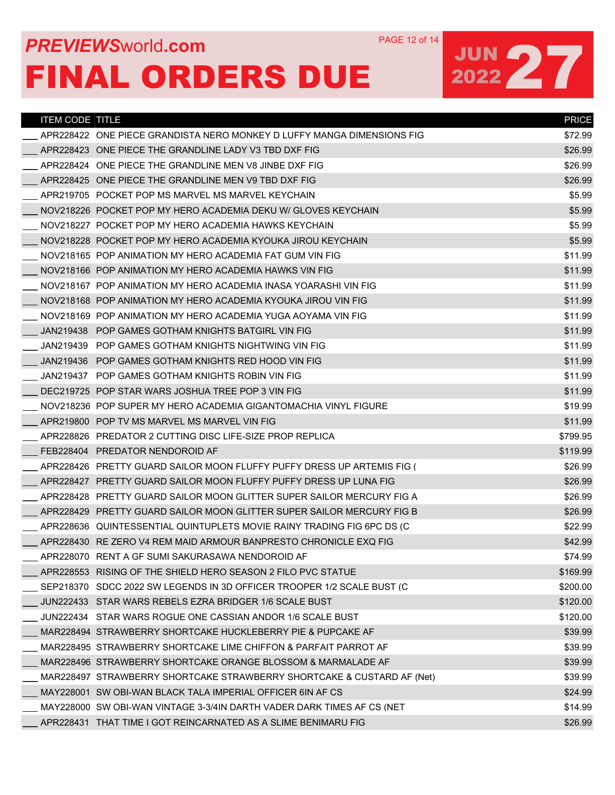## **PREVIEWS** WORLD **COM** PAGE 12 of 14 FINAL ORDERS DUE

| <b>ITEM CODE TITLE</b> |                                                                        | <b>PRICE</b> |
|------------------------|------------------------------------------------------------------------|--------------|
|                        | APR228422_ONE PIECE GRANDISTA NERO MONKEY D LUFFY MANGA DIMENSIONS FIG | \$72.99      |
|                        | APR228423 ONE PIECE THE GRANDLINE LADY V3 TBD DXF FIG                  | \$26.99      |
|                        | APR228424 ONE PIECE THE GRANDLINE MEN V8 JINBE DXE FIG                 | \$26.99      |
|                        | APR228425 ONE PIECE THE GRANDLINE MEN V9 TBD DXF FIG                   | \$26.99      |
|                        | APR219705 POCKET POP MS MARVEL MS MARVEL KEYCHAIN                      | \$5.99       |
|                        | NOV218226 POCKET POP MY HERO ACADEMIA DEKU W/ GLOVES KEYCHAIN          | \$5.99       |
|                        | NOV218227 POCKET POP MY HERO ACADEMIA HAWKS KEYCHAIN                   | \$5.99       |
|                        | NOV218228 POCKET POP MY HERO ACADEMIA KYOUKA JIROU KEYCHAIN            | \$5.99       |
|                        | NOV218165 POP ANIMATION MY HERO ACADEMIA FAT GUM VIN FIG               | \$11.99      |
|                        | NOV218166 POP ANIMATION MY HERO ACADEMIA HAWKS VIN FIG                 | \$11.99      |
|                        | NOV218167 POP ANIMATION MY HERO ACADEMIA INASA YOARASHI VIN FIG        | \$11.99      |
|                        | NOV218168 POP ANIMATION MY HERO ACADEMIA KYOUKA JIROU VIN FIG          | \$11.99      |
|                        | NOV218169 POP ANIMATION MY HERO ACADEMIA YUGA AOYAMA VIN FIG           | \$11.99      |
|                        | JAN219438 POP GAMES GOTHAM KNIGHTS BATGIRL VIN FIG                     | \$11.99      |
|                        | JAN219439 POP GAMES GOTHAM KNIGHTS NIGHTWING VIN FIG                   | \$11.99      |
|                        | JAN219436 POP GAMES GOTHAM KNIGHTS RED HOOD VIN FIG                    | \$11.99      |
|                        | JAN219437 POP GAMES GOTHAM KNIGHTS ROBIN VIN FIG                       | \$11.99      |
|                        | DEC219725 POP STAR WARS JOSHUA TREE POP 3 VIN FIG                      | \$11.99      |
|                        | NOV218236 POP SUPER MY HERO ACADEMIA GIGANTOMACHIA VINYL FIGURE        | \$19.99      |
|                        | APR219800 POP TV MS MARVEL MS MARVEL VIN FIG                           | \$11.99      |
|                        | APR228826 PREDATOR 2 CUTTING DISC LIFE-SIZE PROP REPLICA               | \$799.95     |
|                        | FEB228404 PREDATOR NENDOROID AF                                        | \$119.99     |
|                        | APR228426 PRETTY GUARD SAILOR MOON FLUFFY PUFFY DRESS UP ARTEMIS FIG ( | \$26.99      |
|                        | APR228427 PRETTY GUARD SAILOR MOON FLUFFY PUFFY DRESS UP LUNA FIG      | \$26.99      |
|                        | APR228428 PRETTY GUARD SAILOR MOON GLITTER SUPER SAILOR MERCURY FIG A  | \$26.99      |
|                        | APR228429 PRETTY GUARD SAILOR MOON GLITTER SUPER SAILOR MERCURY FIG B  | \$26.99      |
|                        | APR228636 QUINTESSENTIAL QUINTUPLETS MOVIE RAINY TRADING FIG 6PC DS (C | \$22.99      |
|                        | APR228430 RE ZERO V4 REM MAID ARMOUR BANPRESTO CHRONICLE EXQ FIG       | \$42.99      |
|                        | APR228070_RENT A GF SUMI SAKURASAWA NENDOROID AF                       | \$74.99      |
|                        | APR228553 RISING OF THE SHIELD HERO SEASON 2 FILO PVC STATUE           | \$169.99     |
|                        | SEP218370 SDCC 2022 SW LEGENDS IN 3D OFFICER TROOPER 1/2 SCALE BUST (C | \$200.00     |
|                        | JUN222433 STAR WARS REBELS EZRA BRIDGER 1/6 SCALE BUST                 | \$120.00     |
|                        | JUN222434 STAR WARS ROGUE ONE CASSIAN ANDOR 1/6 SCALE BUST             | \$120.00     |
|                        | MAR228494 STRAWBERRY SHORTCAKE HUCKLEBERRY PIE & PUPCAKE AF            | \$39.99      |
|                        | MAR228495_STRAWBERRY_SHORTCAKE_LIME_CHIFFON & PARFAIT_PARROT_AF        | \$39.99      |
|                        | MAR228496 STRAWBERRY SHORTCAKE ORANGE BLOSSOM & MARMALADE AF           | \$39.99      |
|                        | MAR228497 STRAWBERRY SHORTCAKE STRAWBERRY SHORTCAKE & CUSTARD AF (Net) | \$39.99      |
|                        | MAY228001 SW OBI-WAN BLACK TALA IMPERIAL OFFICER 6IN AF CS             | \$24.99      |
|                        | MAY228000_SW OBI-WAN VINTAGE 3-3/4IN DARTH VADER DARK TIMES AF CS (NET | \$14.99      |
|                        | APR228431 THAT TIME I GOT REINCARNATED AS A SLIME BENIMARU FIG         | \$26.99      |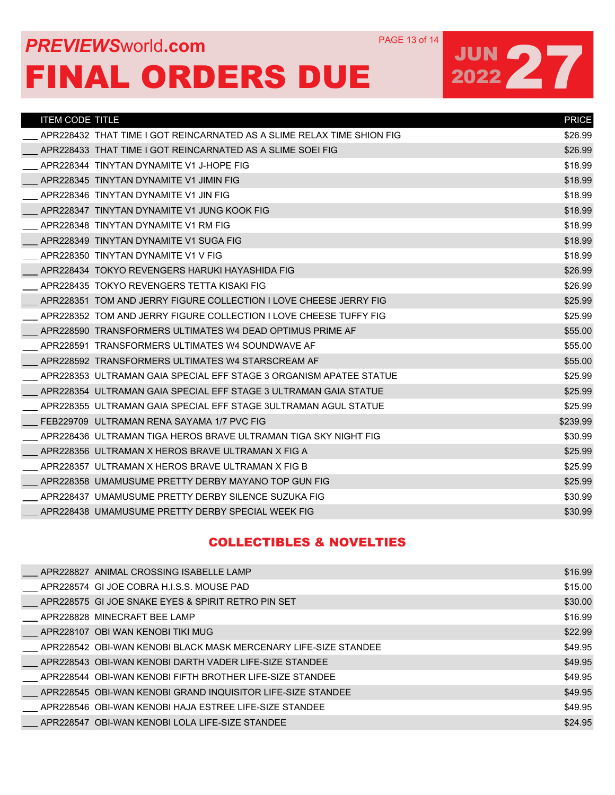## **PREVIEWS** WORLD **COM** PAGE 13 of 14 FINAL ORDERS DUE

# JUN 27

| <b>ITEM CODE TITLE</b> |                                                                        | <b>PRICE</b> |
|------------------------|------------------------------------------------------------------------|--------------|
|                        | APR228432 THAT TIME I GOT REINCARNATED AS A SLIME RELAX TIME SHION FIG | \$26.99      |
|                        | APR228433 THAT TIME I GOT REINCARNATED AS A SLIME SOEI FIG             | \$26.99      |
|                        | APR228344 TINYTAN DYNAMITE V1 J-HOPE FIG                               | \$18.99      |
|                        | APR228345 TINYTAN DYNAMITE V1 JIMIN FIG                                | \$18.99      |
|                        | APR228346 TINYTAN DYNAMITE V1 JIN FIG                                  | \$18.99      |
|                        | APR228347 TINYTAN DYNAMITE V1 JUNG KOOK FIG                            | \$18.99      |
|                        | APR228348 TINYTAN DYNAMITE V1 RM FIG                                   | \$18.99      |
|                        | APR228349 TINYTAN DYNAMITE V1 SUGA FIG                                 | \$18.99      |
|                        | APR228350 TINYTAN DYNAMITE V1 V FIG                                    | \$18.99      |
|                        | APR228434 TOKYO REVENGERS HARUKI HAYASHIDA FIG                         | \$26.99      |
|                        | APR228435 TOKYO REVENGERS TETTA KISAKI FIG                             | \$26.99      |
|                        | APR228351 TOM AND JERRY FIGURE COLLECTION I LOVE CHEESE JERRY FIG      | \$25.99      |
|                        | APR228352 TOM AND JERRY FIGURE COLLECTION I LOVE CHEESE TUFFY FIG      | \$25.99      |
|                        | APR228590 TRANSFORMERS ULTIMATES W4 DEAD OPTIMUS PRIME AF              | \$55.00      |
|                        | APR228591 TRANSFORMERS ULTIMATES W4 SOUNDWAVE AF                       | \$55.00      |
|                        | APR228592 TRANSFORMERS ULTIMATES W4 STARSCREAM AF                      | \$55.00      |
|                        | APR228353 ULTRAMAN GAIA SPECIAL EFF STAGE 3 ORGANISM APATEE STATUE     | \$25.99      |
|                        | APR228354 ULTRAMAN GAIA SPECIAL EFF STAGE 3 ULTRAMAN GAIA STATUE       | \$25.99      |
|                        | APR228355 ULTRAMAN GAIA SPECIAL EFF STAGE 3ULTRAMAN AGUL STATUE        | \$25.99      |
|                        | FEB229709 ULTRAMAN RENA SAYAMA 1/7 PVC FIG                             | \$239.99     |
|                        | APR228436 ULTRAMAN TIGA HEROS BRAVE ULTRAMAN TIGA SKY NIGHT FIG        | \$30.99      |
|                        | APR228356 ULTRAMAN X HEROS BRAVE ULTRAMAN X FIG A                      | \$25.99      |
|                        | APR228357 ULTRAMAN X HEROS BRAVE ULTRAMAN X FIG B                      | \$25.99      |
|                        | APR228358 UMAMUSUME PRETTY DERBY MAYANO TOP GUN FIG                    | \$25.99      |
|                        | APR228437 UMAMUSUME PRETTY DERBY SILENCE SUZUKA FIG                    | \$30.99      |
|                        | APR228438 UMAMUSUME PRETTY DERBY SPECIAL WEEK FIG                      | \$30.99      |
|                        |                                                                        |              |

### COLLECTIBLES & NOVELTIES

|  | APR228827 ANIMAL CROSSING ISABELLE LAMP                         | \$16.99 |
|--|-----------------------------------------------------------------|---------|
|  | APR228574_GI JOE COBRA H.I.S.S. MOUSE PAD                       | \$15.00 |
|  | APR228575_GI JOE SNAKE EYES & SPIRIT RETRO PIN SET              | \$30.00 |
|  | APR228828_MINECRAFT BEE LAMP                                    | \$16.99 |
|  | APR228107 OBI WAN KENOBI TIKI MUG                               | \$22.99 |
|  | APR228542_OBI-WAN KENOBI BLACK MASK MERCENARY LIFE-SIZE STANDEE | \$49.95 |
|  | APR228543 OBI-WAN KENOBI DARTH VADER LIFE-SIZE STANDEE          | \$49.95 |
|  | APR228544_OBI-WAN KENOBI FIFTH BROTHER LIFE-SIZE STANDEE        | \$49.95 |
|  | APR228545_OBI-WAN KENOBI GRAND INQUISITOR LIFE-SIZE STANDEE     | \$49.95 |
|  | APR228546_OBI-WAN KENOBI HAJA ESTREE LIFE-SIZE STANDEE          | \$49.95 |
|  | APR228547 OBI-WAN KENOBI LOLA LIFE-SIZE STANDEE                 | \$24.95 |
|  |                                                                 |         |